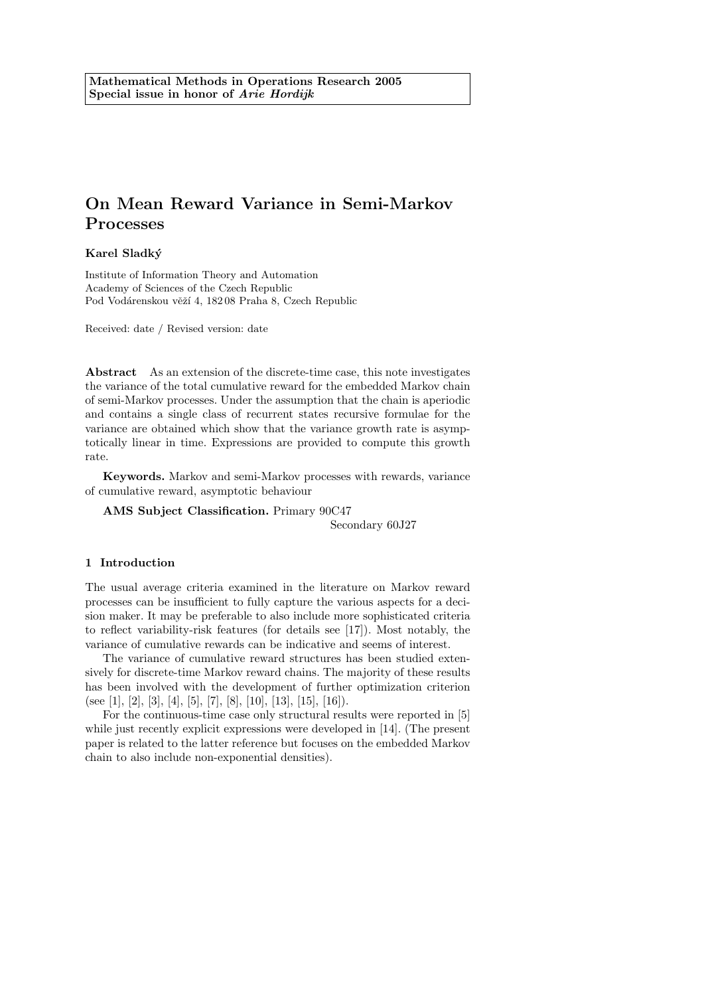# Karel Sladk´y

Institute of Information Theory and Automation Academy of Sciences of the Czech Republic Pod Vodárenskou věží 4, 18208 Praha 8, Czech Republic

Received: date / Revised version: date

Abstract As an extension of the discrete-time case, this note investigates the variance of the total cumulative reward for the embedded Markov chain of semi-Markov processes. Under the assumption that the chain is aperiodic and contains a single class of recurrent states recursive formulae for the variance are obtained which show that the variance growth rate is asymptotically linear in time. Expressions are provided to compute this growth rate.

Keywords. Markov and semi-Markov processes with rewards, variance of cumulative reward, asymptotic behaviour

AMS Subject Classification. Primary 90C47

Secondary 60J27

#### 1 Introduction

The usual average criteria examined in the literature on Markov reward processes can be insufficient to fully capture the various aspects for a decision maker. It may be preferable to also include more sophisticated criteria to reflect variability-risk features (for details see [17]). Most notably, the variance of cumulative rewards can be indicative and seems of interest.

The variance of cumulative reward structures has been studied extensively for discrete-time Markov reward chains. The majority of these results has been involved with the development of further optimization criterion (see [1], [2], [3], [4], [5], [7], [8], [10], [13], [15], [16]).

For the continuous-time case only structural results were reported in [5] while just recently explicit expressions were developed in [14]. (The present paper is related to the latter reference but focuses on the embedded Markov chain to also include non-exponential densities).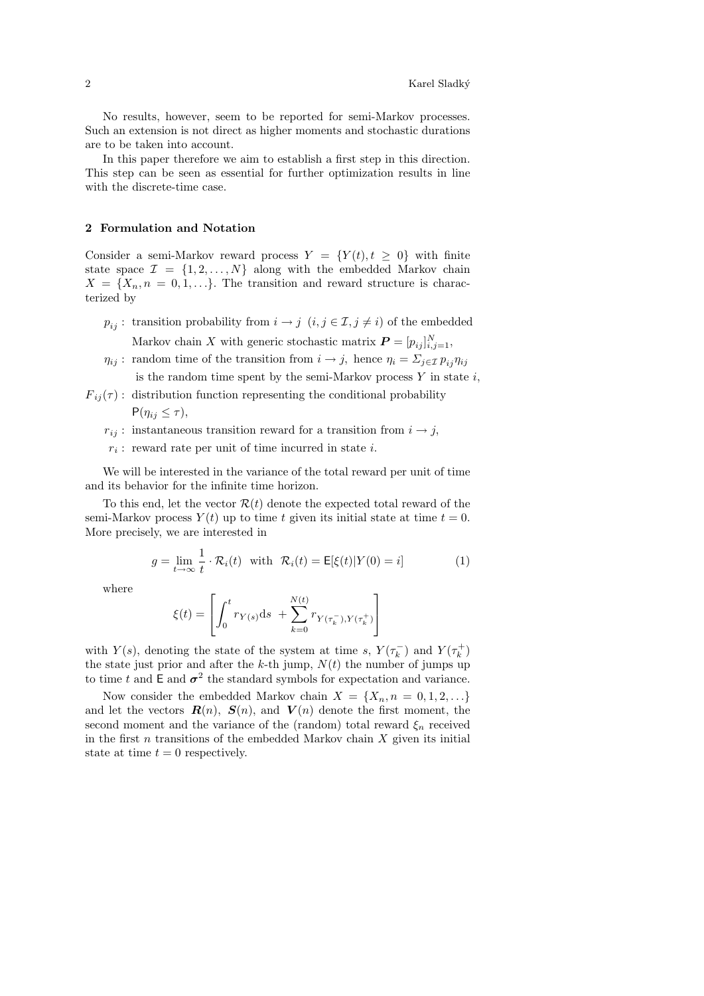No results, however, seem to be reported for semi-Markov processes. Such an extension is not direct as higher moments and stochastic durations are to be taken into account.

In this paper therefore we aim to establish a first step in this direction. This step can be seen as essential for further optimization results in line with the discrete-time case.

## 2 Formulation and Notation

Consider a semi-Markov reward process  $Y = \{Y(t), t \geq 0\}$  with finite state space  $\mathcal{I} = \{1, 2, ..., N\}$  along with the embedded Markov chain  $X = \{X_n, n = 0, 1, \ldots\}$ . The transition and reward structure is characterized by

- $p_{ij}$ : transition probability from  $i \to j$   $(i, j \in \mathcal{I}, j \neq i)$  of the embedded Markov chain X with generic stochastic matrix  $\boldsymbol{P} = [p_{ij}]_{i,j=1}^N$ ,
- $\eta_{ij}$ : random time of the transition from  $i \to j$ , hence  $\eta_i = \sum_{i \in \mathcal{I}} p_{ij} \eta_{ij}$ is the random time spent by the semi-Markov process  $Y$  in state  $i$ ,
- $F_{ij}(\tau)$ : distribution function representing the conditional probability  $P(\eta_{ij} \leq \tau),$ 
	- $r_{ij}$ : instantaneous transition reward for a transition from  $i \rightarrow j$ ,
	- $r_i$ : reward rate per unit of time incurred in state i.

We will be interested in the variance of the total reward per unit of time and its behavior for the infinite time horizon.

To this end, let the vector  $\mathcal{R}(t)$  denote the expected total reward of the semi-Markov process  $Y(t)$  up to time t given its initial state at time  $t = 0$ . More precisely, we are interested in

$$
g = \lim_{t \to \infty} \frac{1}{t} \cdot \mathcal{R}_i(t) \quad \text{with} \quad \mathcal{R}_i(t) = \mathsf{E}[\xi(t)|Y(0) = i] \tag{1}
$$

where

$$
\xi(t) = \left[ \int_0^t r_{Y(s)} \mathrm{d} s \ + \sum_{k=0}^{N(t)} r_{Y(\tau_k^-), Y(\tau_k^+)} \right]
$$

with  $Y(s)$ , denoting the state of the system at time s,  $Y(\tau_k^-)$  and  $Y(\tau_k^+)$ the state just prior and after the k-th jump,  $N(t)$  the number of jumps up to time t and  $\mathsf{E}$  and  $\sigma^2$  the standard symbols for expectation and variance.

Now consider the embedded Markov chain  $X = \{X_n, n = 0, 1, 2, \ldots\}$ and let the vectors  $R(n)$ ,  $S(n)$ , and  $V(n)$  denote the first moment, the second moment and the variance of the (random) total reward  $\xi_n$  received in the first  $n$  transitions of the embedded Markov chain  $X$  given its initial state at time  $t = 0$  respectively.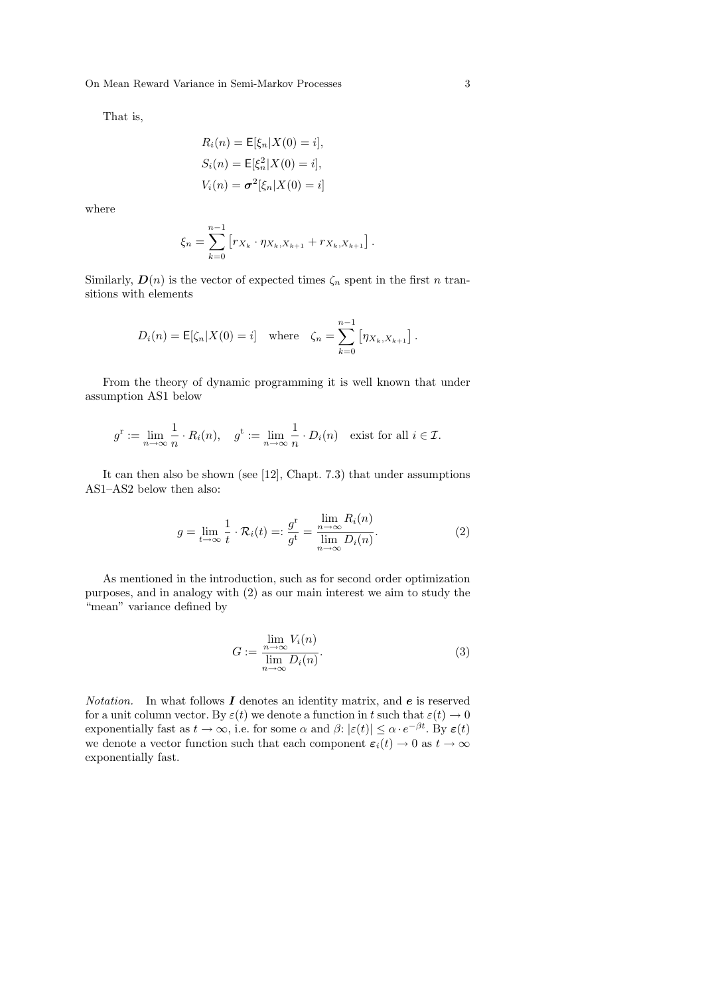That is,

$$
R_i(n) = \mathsf{E}[\xi_n|X(0) = i],
$$
  
\n
$$
S_i(n) = \mathsf{E}[\xi_n^2|X(0) = i],
$$
  
\n
$$
V_i(n) = \sigma^2[\xi_n|X(0) = i]
$$

where

$$
\xi_n = \sum_{k=0}^{n-1} \left[ r_{X_k} \cdot \eta_{X_k, X_{k+1}} + r_{X_k, X_{k+1}} \right].
$$

Similarly,  $\mathbf{D}(n)$  is the vector of expected times  $\zeta_n$  spent in the first n transitions with elements

$$
D_i(n) = \mathsf{E}[\zeta_n | X(0) = i] \text{ where } \zeta_n = \sum_{k=0}^{n-1} [\eta_{X_k, X_{k+1}}].
$$

From the theory of dynamic programming it is well known that under assumption AS1 below

$$
g^r := \lim_{n \to \infty} \frac{1}{n} \cdot R_i(n), \quad g^t := \lim_{n \to \infty} \frac{1}{n} \cdot D_i(n) \quad \text{exist for all } i \in \mathcal{I}.
$$

It can then also be shown (see [12], Chapt. 7.3) that under assumptions AS1–AS2 below then also:

$$
g = \lim_{t \to \infty} \frac{1}{t} \cdot \mathcal{R}_i(t) =: \frac{g^{\text{r}}}{g^{\text{t}}} = \frac{\lim_{n \to \infty} R_i(n)}{\lim_{n \to \infty} D_i(n)}.
$$
 (2)

As mentioned in the introduction, such as for second order optimization purposes, and in analogy with (2) as our main interest we aim to study the "mean" variance defined by

$$
G := \frac{\lim_{n \to \infty} V_i(n)}{\lim_{n \to \infty} D_i(n)}.
$$
\n(3)

*Notation.* In what follows  $I$  denotes an identity matrix, and  $e$  is reserved for a unit column vector. By  $\varepsilon(t)$  we denote a function in t such that  $\varepsilon(t) \to 0$ exponentially fast as  $t \to \infty$ , i.e. for some  $\alpha$  and  $\beta: |\varepsilon(t)| \leq \alpha \cdot e^{-\beta t}$ . By  $\varepsilon(t)$ we denote a vector function such that each component  $\varepsilon_i(t) \to 0$  as  $t \to \infty$ exponentially fast.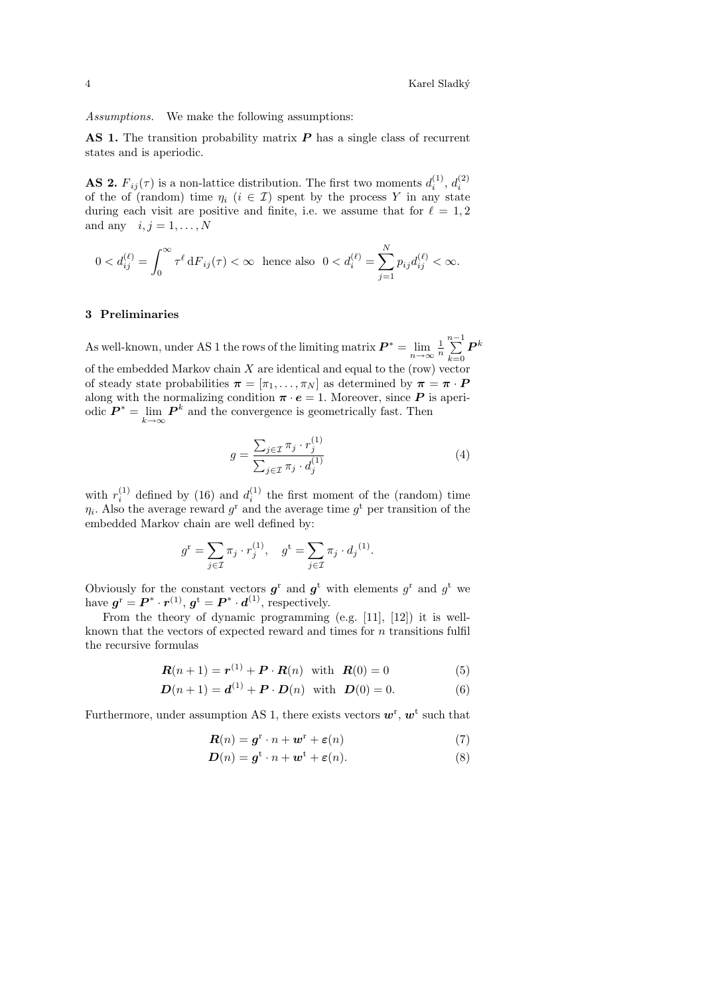Assumptions. We make the following assumptions:

AS 1. The transition probability matrix  $P$  has a single class of recurrent states and is aperiodic.

**AS 2.**  $F_{ij}(\tau)$  is a non-lattice distribution. The first two moments  $d_i^{(1)}$ ,  $d_i^{(2)}$ of the of (random) time  $\eta_i$  ( $i \in \mathcal{I}$ ) spent by the process Y in any state during each visit are positive and finite, i.e. we assume that for  $\ell = 1, 2$ and any  $i, j = 1, \ldots, N$ 

$$
0 < d_{ij}^{(\ell)} = \int_0^\infty \tau^{\ell} dF_{ij}(\tau) < \infty \text{ hence also } 0 < d_i^{(\ell)} = \sum_{j=1}^N p_{ij} d_{ij}^{(\ell)} < \infty.
$$

## 3 Preliminaries

As well-known, under AS 1 the rows of the limiting matrix  $\boldsymbol{P}^*$  $\sum_{n=-\infty}^{\infty} \frac{1}{n} \sum_{k=0}^{n-1}$  $k=0$  $\bm{P}^k$ of the embedded Markov chain  $X$  are identical and equal to the (row) vector of steady state probabilities  $\boldsymbol{\pi} = [\pi_1, \dots, \pi_N]$  as determined by  $\boldsymbol{\pi} = \boldsymbol{\pi} \cdot \boldsymbol{P}$ along with the normalizing condition  $\pi \cdot e = 1$ . Moreover, since **P** is aperiodic  $\boldsymbol{P}^* = \lim_{k \to \infty} \boldsymbol{P}^k$  and the convergence is geometrically fast. Then

$$
g = \frac{\sum_{j \in \mathcal{I}} \pi_j \cdot r_j^{(1)}}{\sum_{j \in \mathcal{I}} \pi_j \cdot d_j^{(1)}}\tag{4}
$$

with  $r_i^{(1)}$  defined by (16) and  $d_i^{(1)}$  the first moment of the (random) time  $\eta_i$ . Also the average reward  $g^r$  and the average time  $g^t$  per transition of the embedded Markov chain are well defined by:

$$
g^r = \sum_{j \in \mathcal{I}} \pi_j \cdot r_j^{(1)}, \quad g^t = \sum_{j \in \mathcal{I}} \pi_j \cdot d_j^{(1)}.
$$

Obviously for the constant vectors  $g^r$  and  $g^t$  with elements  $g^r$  and  $g^t$  we have  $g^{\rm r} = \boldsymbol{P}^* \cdot \boldsymbol{r}^{(1)}$ ,  $g^{\rm t} = \boldsymbol{P}^* \cdot \boldsymbol{d}^{(1)}$ , respectively.

From the theory of dynamic programming (e.g. [11], [12]) it is wellknown that the vectors of expected reward and times for  $n$  transitions fulfil the recursive formulas

$$
R(n+1) = r(1) + P \cdot R(n) \text{ with } R(0) = 0
$$
 (5)

$$
D(n+1) = d^{(1)} + P \cdot D(n) \text{ with } D(0) = 0.
$$
 (6)

Furthermore, under assumption AS 1, there exists vectors  $w^{\text{r}}$ ,  $w^{\text{t}}$  such that

$$
\mathbf{R}(n) = \mathbf{g}^{\mathrm{r}} \cdot n + \mathbf{w}^{\mathrm{r}} + \varepsilon(n) \tag{7}
$$

$$
\mathbf{D}(n) = \mathbf{g}^{\mathbf{t}} \cdot n + \mathbf{w}^{\mathbf{t}} + \varepsilon(n). \tag{8}
$$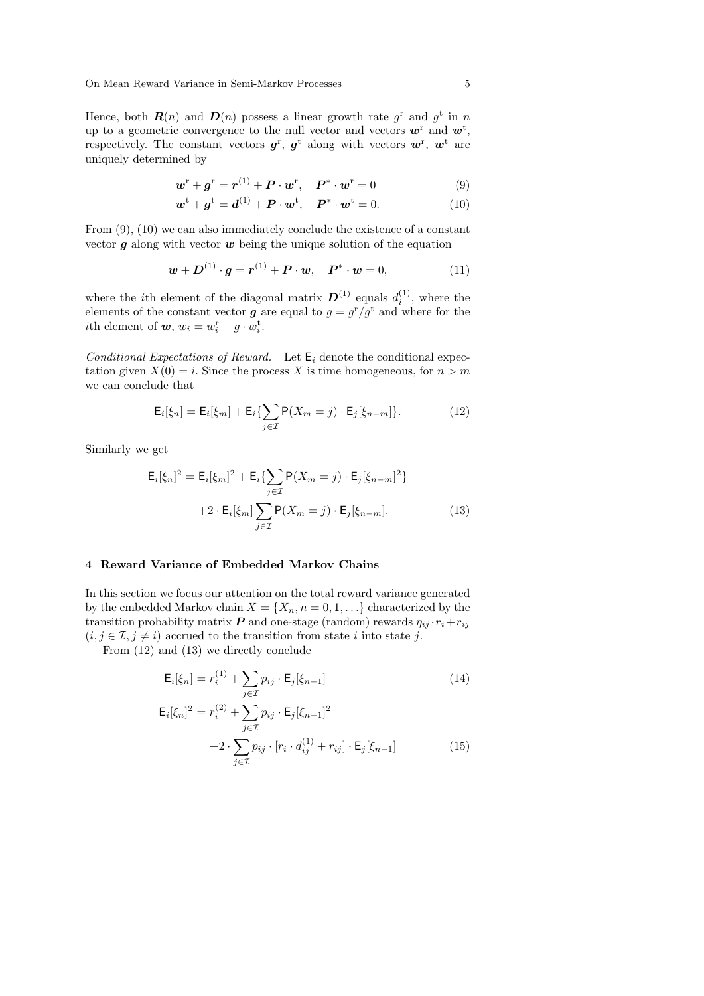Hence, both  $\mathbf{R}(n)$  and  $\mathbf{D}(n)$  possess a linear growth rate  $g^r$  and  $g^t$  in n up to a geometric convergence to the null vector and vectors  $w<sup>r</sup>$  and  $w<sup>t</sup>$ , respectively. The constant vectors  $g^{\rm r}$ ,  $g^{\rm t}$  along with vectors  $w^{\rm r}$ ,  $w^{\rm t}$  are uniquely determined by

$$
\boldsymbol{w}^{\mathrm{r}} + \boldsymbol{g}^{\mathrm{r}} = \boldsymbol{r}^{(1)} + \boldsymbol{P} \cdot \boldsymbol{w}^{\mathrm{r}}, \quad \boldsymbol{P}^* \cdot \boldsymbol{w}^{\mathrm{r}} = 0 \tag{9}
$$

$$
\boldsymbol{w}^{\mathrm{t}} + \boldsymbol{g}^{\mathrm{t}} = \boldsymbol{d}^{(1)} + \boldsymbol{P} \cdot \boldsymbol{w}^{\mathrm{t}}, \quad \boldsymbol{P}^* \cdot \boldsymbol{w}^{\mathrm{t}} = 0. \tag{10}
$$

From  $(9)$ ,  $(10)$  we can also immediately conclude the existence of a constant vector  $q$  along with vector  $w$  being the unique solution of the equation

$$
w + D^{(1)} \cdot g = r^{(1)} + P \cdot w, \quad P^* \cdot w = 0,
$$
 (11)

where the *i*th element of the diagonal matrix  $\boldsymbol{D}^{(1)}$  equals  $d_i^{(1)}$ , where the elements of the constant vector **g** are equal to  $g = g^r/g^t$  and where for the *i*th element of  $w, w_i = w_i^{\text{r}} - g \cdot w_i^{\text{t}}$ .

Conditional Expectations of Reward. Let  $E_i$  denote the conditional expectation given  $X(0) = i$ . Since the process X is time homogeneous, for  $n > m$ we can conclude that

$$
\mathsf{E}_{i}[\xi_{n}] = \mathsf{E}_{i}[\xi_{m}] + \mathsf{E}_{i}\left\{\sum_{j\in\mathcal{I}}\mathsf{P}(X_{m}=j)\cdot\mathsf{E}_{j}[\xi_{n-m}]\right\}.
$$
 (12)

Similarly we get

$$
\mathsf{E}_{i}[\xi_{n}]^{2} = \mathsf{E}_{i}[\xi_{m}]^{2} + \mathsf{E}_{i} \{ \sum_{j \in \mathcal{I}} \mathsf{P}(X_{m} = j) \cdot \mathsf{E}_{j}[\xi_{n-m}]^{2} \} \n+ 2 \cdot \mathsf{E}_{i}[\xi_{m}] \sum_{j \in \mathcal{I}} \mathsf{P}(X_{m} = j) \cdot \mathsf{E}_{j}[\xi_{n-m}].
$$
\n(13)

## 4 Reward Variance of Embedded Markov Chains

In this section we focus our attention on the total reward variance generated by the embedded Markov chain  $X = \{X_n, n = 0, 1, \ldots\}$  characterized by the transition probability matrix **P** and one-stage (random) rewards  $\eta_{ij} \cdot r_i + r_{ij}$  $(i, j \in \mathcal{I}, j \neq i)$  accrued to the transition from state i into state j.

From (12) and (13) we directly conclude

$$
E_i[\xi_n] = r_i^{(1)} + \sum_{j \in \mathcal{I}} p_{ij} \cdot E_j[\xi_{n-1}] \tag{14}
$$

$$
\mathsf{E}_{i}[\xi_{n}]^{2} = r_{i}^{(2)} + \sum_{j \in \mathcal{I}} p_{ij} \cdot \mathsf{E}_{j}[\xi_{n-1}]^{2} \n+2 \cdot \sum_{j \in \mathcal{I}} p_{ij} \cdot [r_{i} \cdot d_{ij}^{(1)} + r_{ij}] \cdot \mathsf{E}_{j}[\xi_{n-1}]
$$
\n(15)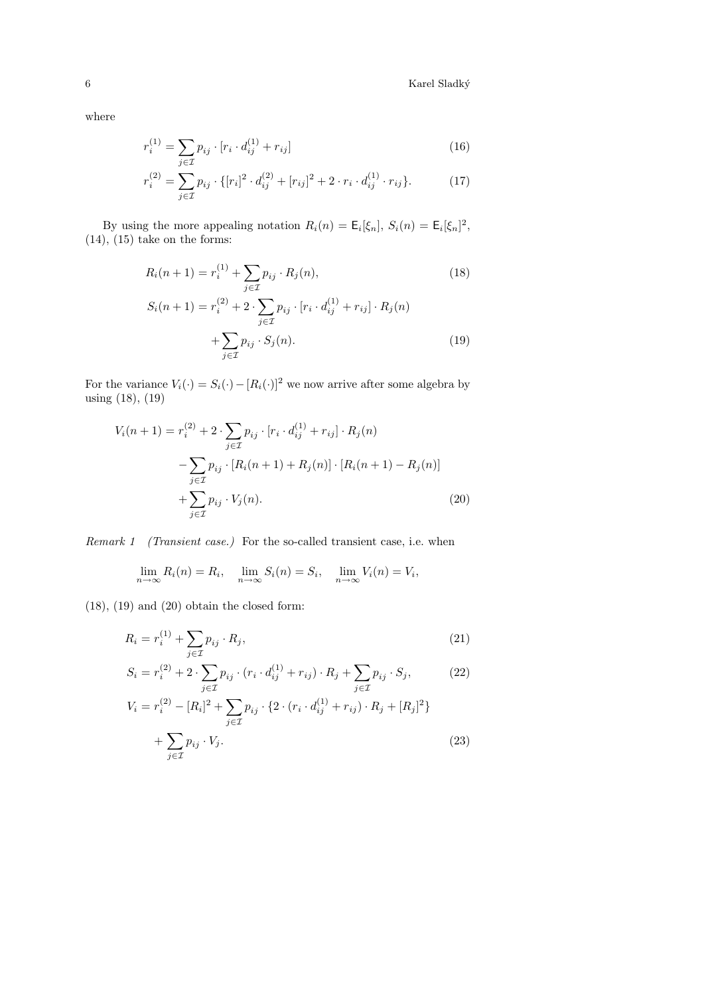$6$  Karel Sladký  $\,$ 

where

$$
r_i^{(1)} = \sum_{j \in \mathcal{I}} p_{ij} \cdot [r_i \cdot d_{ij}^{(1)} + r_{ij}] \tag{16}
$$

$$
r_i^{(2)} = \sum_{j \in \mathcal{I}} p_{ij} \cdot \{ [r_i]^2 \cdot d_{ij}^{(2)} + [r_{ij}]^2 + 2 \cdot r_i \cdot d_{ij}^{(1)} \cdot r_{ij} \}.
$$
 (17)

By using the more appealing notation  $R_i(n) = \mathsf{E}_i[\xi_n], S_i(n) = \mathsf{E}_i[\xi_n]^2$ ,  $(14)$ ,  $(15)$  take on the forms:

$$
R_i(n+1) = r_i^{(1)} + \sum_{j \in \mathcal{I}} p_{ij} \cdot R_j(n),
$$
\n
$$
S_i(n+1) = r_i^{(2)} + 2 \cdot \sum_{j \in \mathcal{I}} p_{ij} \cdot [r_i \cdot d_{ij}^{(1)} + r_{ij}] \cdot R_j(n)
$$
\n(18)

$$
+\sum_{j\in\mathcal{I}}p_{ij}\cdot S_j(n). \tag{19}
$$

For the variance  $V_i(\cdot) = S_i(\cdot) - [R_i(\cdot)]^2$  we now arrive after some algebra by using (18), (19)

$$
V_i(n+1) = r_i^{(2)} + 2 \cdot \sum_{j \in \mathcal{I}} p_{ij} \cdot [r_i \cdot d_{ij}^{(1)} + r_{ij}] \cdot R_j(n)
$$
  

$$
- \sum_{j \in \mathcal{I}} p_{ij} \cdot [R_i(n+1) + R_j(n)] \cdot [R_i(n+1) - R_j(n)]
$$
  

$$
+ \sum_{j \in \mathcal{I}} p_{ij} \cdot V_j(n).
$$
 (20)

Remark 1 (Transient case.) For the so-called transient case, i.e. when

$$
\lim_{n \to \infty} R_i(n) = R_i, \quad \lim_{n \to \infty} S_i(n) = S_i, \quad \lim_{n \to \infty} V_i(n) = V_i,
$$

(18), (19) and (20) obtain the closed form:

$$
R_i = r_i^{(1)} + \sum_{j \in \mathcal{I}} p_{ij} \cdot R_j,\tag{21}
$$

$$
S_i = r_i^{(2)} + 2 \cdot \sum_{j \in \mathcal{I}} p_{ij} \cdot (r_i \cdot d_{ij}^{(1)} + r_{ij}) \cdot R_j + \sum_{j \in \mathcal{I}} p_{ij} \cdot S_j,
$$
 (22)

$$
V_i = r_i^{(2)} - [R_i]^2 + \sum_{j \in \mathcal{I}} p_{ij} \cdot \{2 \cdot (r_i \cdot d_{ij}^{(1)} + r_{ij}) \cdot R_j + [R_j]^2\} + \sum_{j \in \mathcal{I}} p_{ij} \cdot V_j.
$$
\n(23)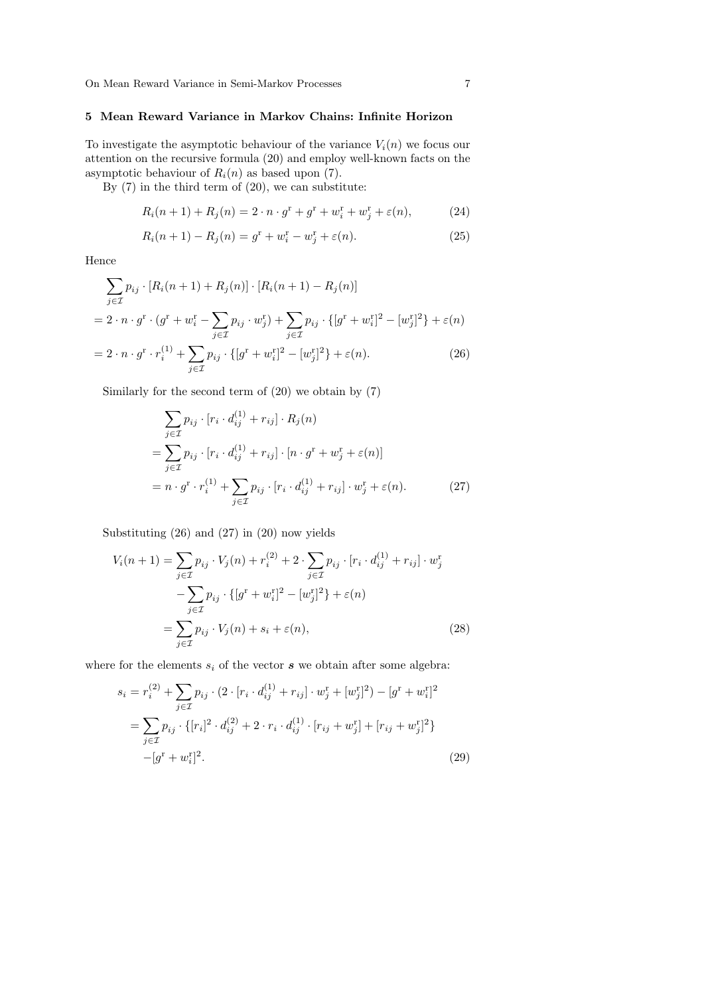# 5 Mean Reward Variance in Markov Chains: Infinite Horizon

To investigate the asymptotic behaviour of the variance  $V_i(n)$  we focus our attention on the recursive formula (20) and employ well-known facts on the asymptotic behaviour of  $R_i(n)$  as based upon (7).

By  $(7)$  in the third term of  $(20)$ , we can substitute:

$$
R_i(n+1) + R_j(n) = 2 \cdot n \cdot g^r + g^r + w_i^r + w_j^r + \varepsilon(n), \tag{24}
$$

$$
R_i(n+1) - R_j(n) = g^r + w_i^r - w_j^r + \varepsilon(n).
$$
 (25)

Hence

$$
\sum_{j \in \mathcal{I}} p_{ij} \cdot [R_i(n+1) + R_j(n)] \cdot [R_i(n+1) - R_j(n)]
$$
  
=  $2 \cdot n \cdot g^r \cdot (g^r + w_i^r - \sum_{j \in \mathcal{I}} p_{ij} \cdot w_j^r) + \sum_{j \in \mathcal{I}} p_{ij} \cdot \{[g^r + w_i^r]^2 - [w_j^r]^2\} + \varepsilon(n)$   
=  $2 \cdot n \cdot g^r \cdot r_i^{(1)} + \sum_{j \in \mathcal{I}} p_{ij} \cdot \{[g^r + w_i^r]^2 - [w_j^r]^2\} + \varepsilon(n).$  (26)

Similarly for the second term of (20) we obtain by (7)

$$
\sum_{j \in \mathcal{I}} p_{ij} \cdot [r_i \cdot d_{ij}^{(1)} + r_{ij}] \cdot R_j(n)
$$
  
= 
$$
\sum_{j \in \mathcal{I}} p_{ij} \cdot [r_i \cdot d_{ij}^{(1)} + r_{ij}] \cdot [n \cdot g^r + w_j^r + \varepsilon(n)]
$$
  
= 
$$
n \cdot g^r \cdot r_i^{(1)} + \sum_{j \in \mathcal{I}} p_{ij} \cdot [r_i \cdot d_{ij}^{(1)} + r_{ij}] \cdot w_j^r + \varepsilon(n).
$$
 (27)

Substituting (26) and (27) in (20) now yields

$$
V_i(n+1) = \sum_{j \in \mathcal{I}} p_{ij} \cdot V_j(n) + r_i^{(2)} + 2 \cdot \sum_{j \in \mathcal{I}} p_{ij} \cdot [r_i \cdot d_{ij}^{(1)} + r_{ij}] \cdot w_j^{\mathsf{T}}
$$

$$
- \sum_{j \in \mathcal{I}} p_{ij} \cdot \{ [g^{\mathsf{T}} + w_i^{\mathsf{T}}]^2 - [w_j^{\mathsf{T}}]^2 \} + \varepsilon(n)
$$

$$
= \sum_{j \in \mathcal{I}} p_{ij} \cdot V_j(n) + s_i + \varepsilon(n), \tag{28}
$$

where for the elements  $s_i$  of the vector  $s$  we obtain after some algebra:

$$
s_i = r_i^{(2)} + \sum_{j \in \mathcal{I}} p_{ij} \cdot (2 \cdot [r_i \cdot d_{ij}^{(1)} + r_{ij}] \cdot w_j^{\mathrm{r}} + [w_j^{\mathrm{r}}]^2) - [g^{\mathrm{r}} + w_i^{\mathrm{r}}]^2
$$
  

$$
= \sum_{j \in \mathcal{I}} p_{ij} \cdot \{ [r_i]^2 \cdot d_{ij}^{(2)} + 2 \cdot r_i \cdot d_{ij}^{(1)} \cdot [r_{ij} + w_j^{\mathrm{r}}] + [r_{ij} + w_j^{\mathrm{r}}]^2 \}
$$
  

$$
-[g^{\mathrm{r}} + w_i^{\mathrm{r}}]^2.
$$
 (29)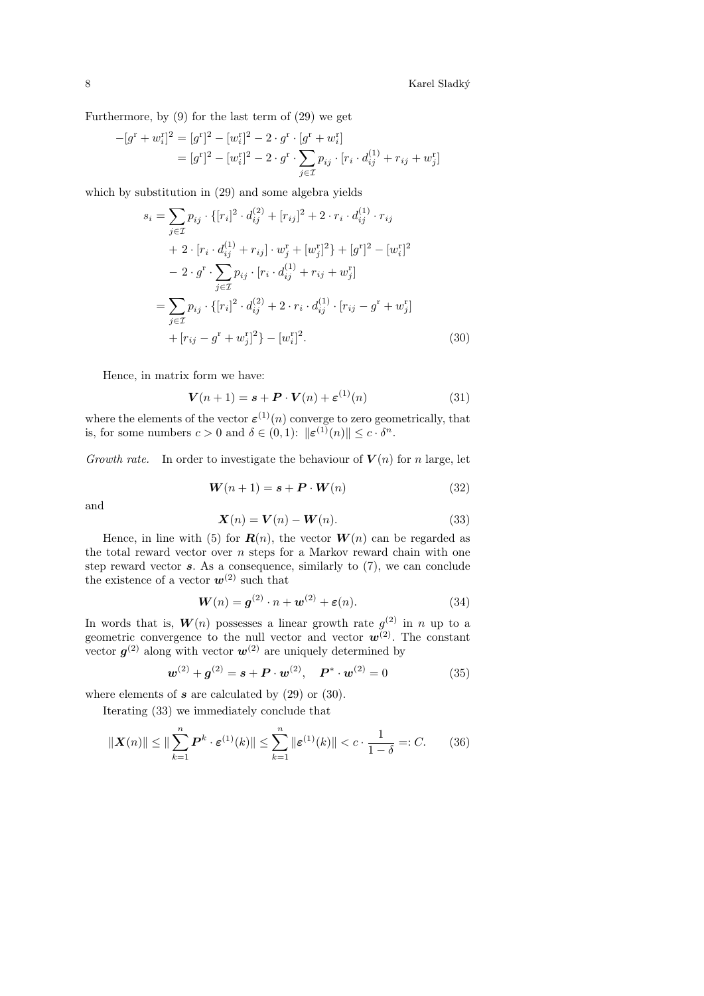8  $\,$  Karel Sladký  $\,$ 

Furthermore, by (9) for the last term of (29) we get

$$
-[g^{\mathrm{r}}+w_i^{\mathrm{r}}]^2 = [g^{\mathrm{r}}]^2 - [w_i^{\mathrm{r}}]^2 - 2 \cdot g^{\mathrm{r}} \cdot [g^{\mathrm{r}}+w_i^{\mathrm{r}}]
$$
  
= 
$$
[g^{\mathrm{r}}]^2 - [w_i^{\mathrm{r}}]^2 - 2 \cdot g^{\mathrm{r}} \cdot \sum_{j \in \mathcal{I}} p_{ij} \cdot [r_i \cdot d_{ij}^{(1)} + r_{ij} + w_j^{\mathrm{r}}]
$$

which by substitution in (29) and some algebra yields

$$
s_i = \sum_{j \in \mathcal{I}} p_{ij} \cdot \{ [r_i]^2 \cdot d_{ij}^{(2)} + [r_{ij}]^2 + 2 \cdot r_i \cdot d_{ij}^{(1)} \cdot r_{ij} + 2 \cdot [r_i \cdot d_{ij}^{(1)} + r_{ij}] \cdot w_j^{\mathrm{r}} + [w_j^{\mathrm{r}}]^2 \} + [g^{\mathrm{r}}]^2 - [w_i^{\mathrm{r}}]^2 - 2 \cdot g^{\mathrm{r}} \cdot \sum_{j \in \mathcal{I}} p_{ij} \cdot [r_i \cdot d_{ij}^{(1)} + r_{ij} + w_j^{\mathrm{r}}] = \sum_{j \in \mathcal{I}} p_{ij} \cdot \{ [r_i]^2 \cdot d_{ij}^{(2)} + 2 \cdot r_i \cdot d_{ij}^{(1)} \cdot [r_{ij} - g^{\mathrm{r}} + w_j^{\mathrm{r}}] + [r_{ij} - g^{\mathrm{r}} + w_j^{\mathrm{r}}]^2 \} - [w_i^{\mathrm{r}}]^2.
$$
 (30)

Hence, in matrix form we have:

$$
\mathbf{V}(n+1) = \mathbf{s} + \mathbf{P} \cdot \mathbf{V}(n) + \boldsymbol{\varepsilon}^{(1)}(n) \tag{31}
$$

where the elements of the vector  $\varepsilon^{(1)}(n)$  converge to zero geometrically, that is, for some numbers  $c > 0$  and  $\delta \in (0,1)$ :  $\|\boldsymbol{\varepsilon}^{(1)}(n)\| \leq c \cdot \delta^n$ .

Growth rate. In order to investigate the behaviour of  $V(n)$  for n large, let

$$
\mathbf{W}(n+1) = \mathbf{s} + \mathbf{P} \cdot \mathbf{W}(n) \tag{32}
$$

and

$$
\mathbf{X}(n) = \mathbf{V}(n) - \mathbf{W}(n). \tag{33}
$$

Hence, in line with (5) for  $\mathbf{R}(n)$ , the vector  $\mathbf{W}(n)$  can be regarded as the total reward vector over  $n$  steps for a Markov reward chain with one step reward vector  $s$ . As a consequence, similarly to  $(7)$ , we can conclude the existence of a vector  $w^{(2)}$  such that

$$
\mathbf{W}(n) = \mathbf{g}^{(2)} \cdot n + \mathbf{w}^{(2)} + \varepsilon(n). \tag{34}
$$

In words that is,  $W(n)$  possesses a linear growth rate  $g^{(2)}$  in n up to a geometric convergence to the null vector and vector  $w^{(2)}$ . The constant vector  $g^{(2)}$  along with vector  $w^{(2)}$  are uniquely determined by

$$
\mathbf{w}^{(2)} + \mathbf{g}^{(2)} = \mathbf{s} + \mathbf{P} \cdot \mathbf{w}^{(2)}, \quad \mathbf{P}^* \cdot \mathbf{w}^{(2)} = 0 \tag{35}
$$

where elements of  $s$  are calculated by  $(29)$  or  $(30)$ .

Iterating (33) we immediately conclude that

$$
\|\mathbf{X}(n)\| \le \|\sum_{k=1}^{n} \mathbf{P}^k \cdot \boldsymbol{\varepsilon}^{(1)}(k)\| \le \sum_{k=1}^{n} \|\boldsymbol{\varepsilon}^{(1)}(k)\| < c \cdot \frac{1}{1-\delta} =: C. \tag{36}
$$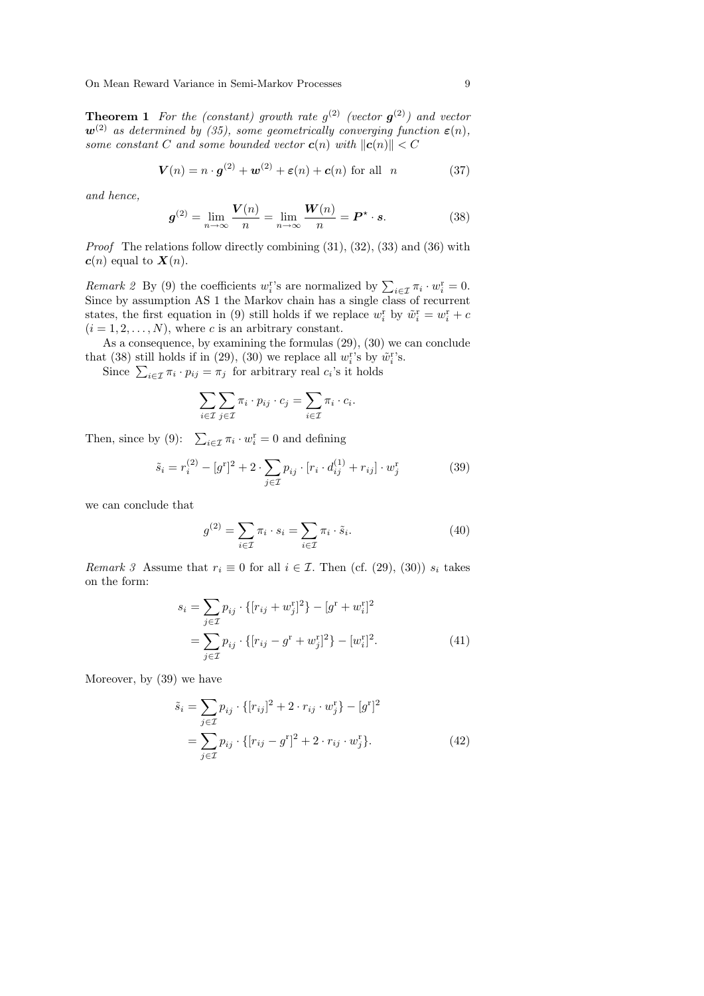**Theorem 1** For the (constant) growth rate  $g^{(2)}$  (vector  $g^{(2)}$ ) and vector  $w^{(2)}$  as determined by (35), some geometrically converging function  $\varepsilon(n)$ , some constant C and some bounded vector  $\mathbf{c}(n)$  with  $\|\mathbf{c}(n)\| < C$ 

$$
\mathbf{V}(n) = n \cdot \mathbf{g}^{(2)} + \mathbf{w}^{(2)} + \varepsilon(n) + \mathbf{c}(n) \text{ for all } n \tag{37}
$$

and hence,

$$
\boldsymbol{g}^{(2)} = \lim_{n \to \infty} \frac{\boldsymbol{V}(n)}{n} = \lim_{n \to \infty} \frac{\boldsymbol{W}(n)}{n} = \boldsymbol{P}^{\star} \cdot \boldsymbol{s}.
$$
 (38)

*Proof* The relations follow directly combining  $(31)$ ,  $(32)$ ,  $(33)$  and  $(36)$  with  $c(n)$  equal to  $X(n)$ .

Remark 2 By (9) the coefficients  $w_i^r$ 's are normalized by  $\sum_{i \in \mathcal{I}} \pi_i \cdot w_i^r = 0$ . Since by assumption AS 1 the Markov chain has a single class of recurrent states, the first equation in (9) still holds if we replace  $w_i^{\rm r}$  by  $\tilde{w}_i^{\rm r} = w_i^{\rm r} + c$  $(i = 1, 2, \ldots, N)$ , where c is an arbitrary constant.

As a consequence, by examining the formulas (29), (30) we can conclude that (38) still holds if in (29), (30) we replace all  $w_i^{\text{r}}$ 's by  $\tilde{w}_i^{\text{r}}$ 's.

Since  $\sum_{i \in \mathcal{I}} \pi_i \cdot p_{ij} = \pi_j$  for arbitrary real  $c_i$ 's it holds

$$
\sum_{i \in \mathcal{I}} \sum_{j \in \mathcal{I}} \pi_i \cdot p_{ij} \cdot c_j = \sum_{i \in \mathcal{I}} \pi_i \cdot c_i.
$$

Then, since by (9):  $\sum_{i \in \mathcal{I}} \pi_i \cdot w_i^{\text{r}} = 0$  and defining

$$
\tilde{s}_i = r_i^{(2)} - [g^{\rm r}]^2 + 2 \cdot \sum_{j \in \mathcal{I}} p_{ij} \cdot [r_i \cdot d_{ij}^{(1)} + r_{ij}] \cdot w_j^{\rm r}
$$
 (39)

we can conclude that

$$
g^{(2)} = \sum_{i \in \mathcal{I}} \pi_i \cdot s_i = \sum_{i \in \mathcal{I}} \pi_i \cdot \tilde{s}_i.
$$
 (40)

Remark 3 Assume that  $r_i \equiv 0$  for all  $i \in \mathcal{I}$ . Then (cf. (29), (30))  $s_i$  takes on the form:

$$
s_i = \sum_{j \in \mathcal{I}} p_{ij} \cdot \{ [r_{ij} + w_j^{\mathrm{r}}]^2 \} - [g^{\mathrm{r}} + w_i^{\mathrm{r}}]^2
$$
  
= 
$$
\sum_{j \in \mathcal{I}} p_{ij} \cdot \{ [r_{ij} - g^{\mathrm{r}} + w_j^{\mathrm{r}}]^2 \} - [w_i^{\mathrm{r}}]^2.
$$
 (41)

Moreover, by (39) we have

$$
\tilde{s}_i = \sum_{j \in \mathcal{I}} p_{ij} \cdot \{ [r_{ij}]^2 + 2 \cdot r_{ij} \cdot w_j^{\mathbf{r}} \} - [g^{\mathbf{r}}]^2
$$
  
= 
$$
\sum_{j \in \mathcal{I}} p_{ij} \cdot \{ [r_{ij} - g^{\mathbf{r}}]^2 + 2 \cdot r_{ij} \cdot w_j^{\mathbf{r}} \}. \tag{42}
$$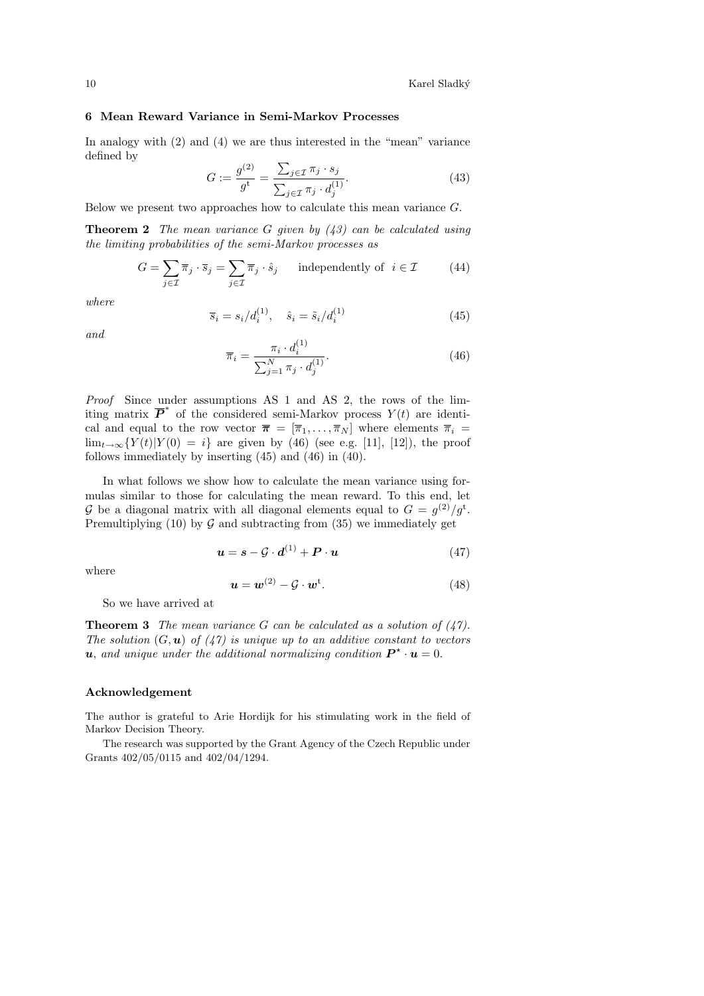In analogy with  $(2)$  and  $(4)$  we are thus interested in the "mean" variance defined by

$$
G := \frac{g^{(2)}}{g^{\mathbf{t}}} = \frac{\sum_{j \in \mathcal{I}} \pi_j \cdot s_j}{\sum_{j \in \mathcal{I}} \pi_j \cdot d_j^{(1)}}.
$$
 (43)

Below we present two approaches how to calculate this mean variance G.

**Theorem 2** The mean variance G given by  $(43)$  can be calculated using the limiting probabilities of the semi-Markov processes as

$$
G = \sum_{j \in \mathcal{I}} \overline{\pi}_j \cdot \overline{s}_j = \sum_{j \in \mathcal{I}} \overline{\pi}_j \cdot \hat{s}_j \quad \text{independently of } i \in \mathcal{I} \tag{44}
$$

where

$$
\overline{s}_i = s_i/d_i^{(1)}, \quad \hat{s}_i = \tilde{s}_i/d_i^{(1)}
$$
(45)

and

$$
\overline{\pi}_i = \frac{\pi_i \cdot d_i^{(1)}}{\sum_{j=1}^N \pi_j \cdot d_j^{(1)}}.
$$
\n(46)

Proof Since under assumptions AS 1 and AS 2, the rows of the limiting matrix  $\overline{P}^*$  of the considered semi-Markov process  $Y(t)$  are identical and equal to the row vector  $\bar{\pi} = [\bar{\pi}_1, \ldots, \bar{\pi}_N]$  where elements  $\bar{\pi}_i =$  $\lim_{t\to\infty} {Y(t)|Y(0) = i}$  are given by (46) (see e.g. [11], [12]), the proof follows immediately by inserting (45) and (46) in (40).

In what follows we show how to calculate the mean variance using formulas similar to those for calculating the mean reward. To this end, let G be a diagonal matrix with all diagonal elements equal to  $G = g^{(2)}/g^{t}$ . Premultiplying (10) by  $G$  and subtracting from (35) we immediately get

$$
\mathbf{u} = \mathbf{s} - \mathcal{G} \cdot \mathbf{d}^{(1)} + \mathbf{P} \cdot \mathbf{u} \tag{47}
$$

where

$$
\mathbf{u} = \mathbf{w}^{(2)} - \mathcal{G} \cdot \mathbf{w}^{\mathrm{t}}.\tag{48}
$$

So we have arrived at

**Theorem 3** The mean variance G can be calculated as a solution of  $(47)$ . The solution  $(G, u)$  of  $(47)$  is unique up to an additive constant to vectors **u**, and unique under the additional normalizing condition  $\mathbf{P}^{\star} \cdot \mathbf{u} = 0$ .

#### Acknowledgement

The author is grateful to Arie Hordijk for his stimulating work in the field of Markov Decision Theory.

The research was supported by the Grant Agency of the Czech Republic under Grants 402/05/0115 and 402/04/1294.